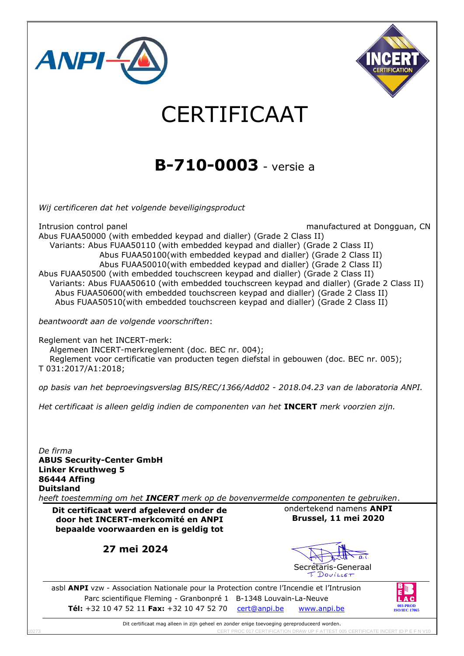

Dit certificaat mag alleen in zijn geheel en zonder enige toevoeging gereproduceerd worden. 10273 CERT PROC 017 CERTIFICATION DRAW UP F ATTEST 005 CERTIFICATE INCERT ID P E F N V10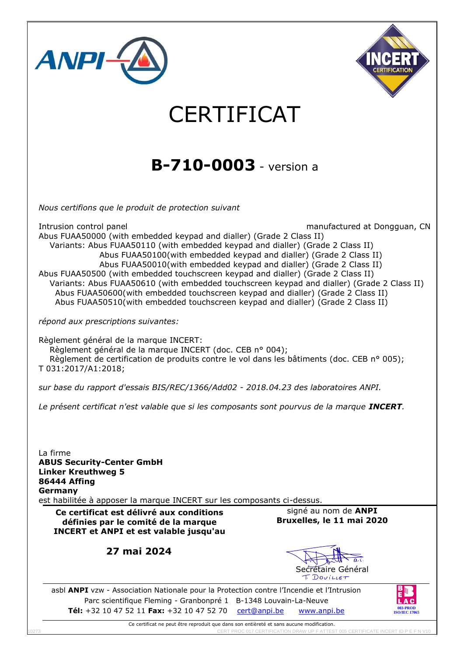

Ce certificat ne peut être reproduit que dans son entièreté et sans aucune modification. 1027 CERT PROCEE INCERT IN P E F N V